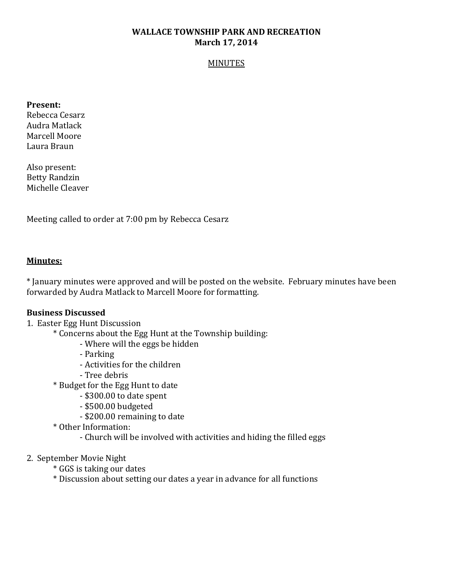# **WALLACE TOWNSHIP PARK AND RECREATION March 17, 2014**

#### MINUTES

#### **Present:**

Rebecca Cesarz Audra Matlack Marcell Moore Laura Braun

Also present: Betty Randzin Michelle Cleaver

Meeting called to order at 7:00 pm by Rebecca Cesarz

## **Minutes:**

\* January minutes were approved and will be posted on the website. February minutes have been forwarded by Audra Matlack to Marcell Moore for formatting.

## **Business Discussed**

## 1. Easter Egg Hunt Discussion

\* Concerns about the Egg Hunt at the Township building:

- Where will the eggs be hidden
- Parking
- Activities for the children
- Tree debris
- \* Budget for the Egg Hunt to date
	- \$300.00 to date spent
	- \$500.00 budgeted
	- \$200.00 remaining to date
- \* Other Information:
	- Church will be involved with activities and hiding the filled eggs
- 2. September Movie Night
	- \* GGS is taking our dates
	- \* Discussion about setting our dates a year in advance for all functions